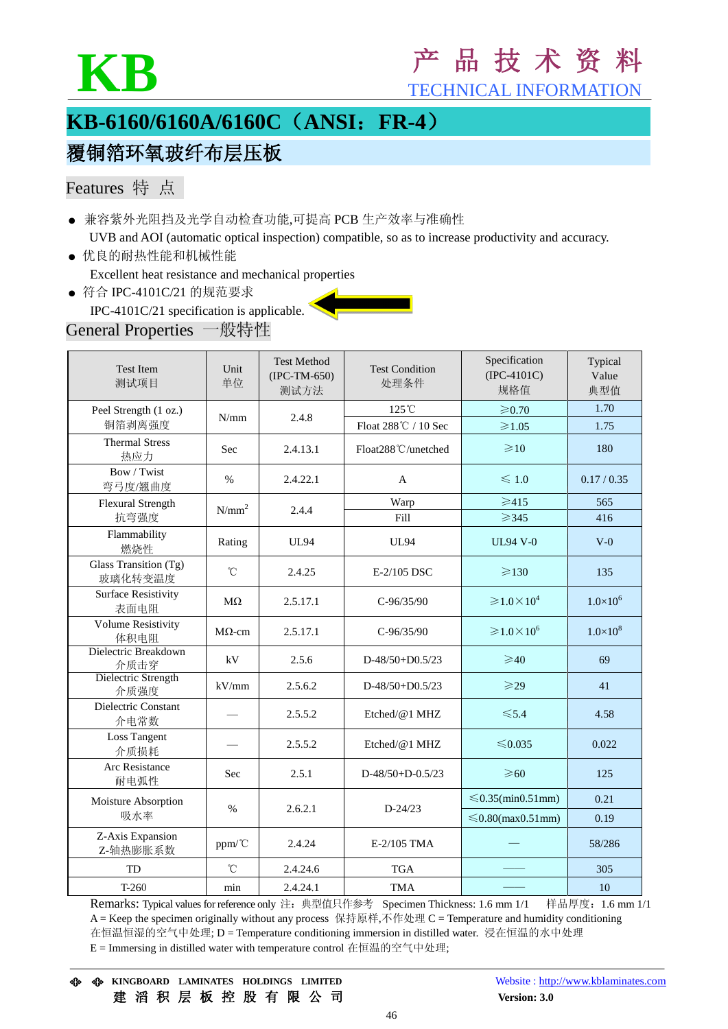

# **KB** <sup>产</sup> <sup>品</sup> <sup>技</sup> <sup>术</sup> <sup>资</sup> <sup>料</sup>

TECHNICAL INFORMATION

## **KB-6160/6160A/6160C**(**ANSI**:**FR-4**)

## 覆铜箔环氧玻纤布层压板

### Features 特 点

- 兼容紫外光阻挡及光学自动检查功能,可提高 PCB 生产效率与准确性 UVB and AOI (automatic optical inspection) compatible, so as to increase productivity and accuracy.
- 优良的耐热性能和机械性能 Excellent heat resistance and mechanical properties
- 符合 IPC-4101C/21 的规范要求
- IPC-4101C/21 specification is applicable.

### General Properties 一般特性

| <b>Test Item</b><br>测试项目           | Unit<br>单位    | <b>Test Method</b><br>$(IPC-TM-650)$<br>测试方法 | <b>Test Condition</b><br>处理条件 | Specification<br>$(IPC-4101C)$<br>规格值    | Typical<br>Value<br>典型值 |
|------------------------------------|---------------|----------------------------------------------|-------------------------------|------------------------------------------|-------------------------|
| Peel Strength (1 oz.)              | N/mm          | 2.4.8                                        | 125°C                         | $\geqslant 0.70$                         | 1.70                    |
| 铜箔剥离强度                             |               |                                              | Float 288℃ / 10 Sec           | $\geqslant$ 1.05                         | 1.75                    |
| <b>Thermal Stress</b><br>热应力       | Sec           | 2.4.13.1                                     | Float288°C/unetched           | $\geq 10$                                | 180                     |
| Bow / Twist<br>弯弓度/翘曲度             | $\%$          | 2.4.22.1                                     | A                             | $\leqslant$ 1.0                          | 0.17 / 0.35             |
| Flexural Strength                  | $N/mm^2$      | 2.4.4                                        | Warp                          | $\geqslant$ 415                          | 565                     |
| 抗弯强度                               |               |                                              | Fill                          | $\geqslant$ 345                          | 416                     |
| Flammability<br>燃烧性                | Rating        | <b>UL94</b>                                  | <b>UL94</b>                   | <b>UL94 V-0</b>                          | $V-0$                   |
| Glass Transition (Tg)<br>玻璃化转变温度   | $^{\circ}$ C  | 2.4.25                                       | E-2/105 DSC                   | $\geq 130$                               | 135                     |
| <b>Surface Resistivity</b><br>表面电阻 | $M\Omega$     | 2.5.17.1                                     | $C-96/35/90$                  | $\geqslant$ 1.0 $\times$ 10 <sup>4</sup> | $1.0\times10^{6}$       |
| <b>Volume Resistivity</b><br>体积电阻  | $M\Omega$ -cm | 2.5.17.1                                     | $C-96/35/90$                  | $\geqslant$ 1.0 $\times$ 10 <sup>6</sup> | $1.0\times10^{8}$       |
| Dielectric Breakdown<br>介质击穿       | kV            | 2.5.6                                        | $D-48/50+D0.5/23$             | $\geq 40$                                | 69                      |
| Dielectric Strength<br>介质强度        | kV/mm         | 2.5.6.2                                      | $D-48/50+D0.5/23$             | $\geqslant$ 29                           | 41                      |
| Dielectric Constant<br>介电常数        |               | 2.5.5.2                                      | Etched/@1 MHZ                 | $\leq 5.4$                               | 4.58                    |
| <b>Loss Tangent</b><br>介质损耗        |               | 2.5.5.2                                      | Etched/@1 MHZ                 | ≤0.035                                   | 0.022                   |
| Arc Resistance<br>耐电弧性             | <b>Sec</b>    | 2.5.1                                        | $D-48/50+D-0.5/23$            | $\geqslant 60$                           | 125                     |
| Moisture Absorption<br>吸水率         | $\%$          | 2.6.2.1                                      | $D - 24/23$                   | $\leq 0.35$ (min0.51mm)                  | 0.21                    |
|                                    |               |                                              |                               | $\leq 0.80$ (max $0.51$ mm)              | 0.19                    |
| Z-Axis Expansion<br>Z-轴热膨胀系数       | ppm/°C        | 2.4.24                                       | E-2/105 TMA                   |                                          | 58/286                  |
| TD                                 | $^{\circ}$ C  | 2.4.24.6                                     | <b>TGA</b>                    |                                          | 305                     |
| $T-260$                            | min           | 2.4.24.1                                     | <b>TMA</b>                    |                                          | 10                      |

Remarks: Typical values for reference only 注: 典型值只作参考 Specimen Thickness: 1.6 mm 1/1 样品厚度: 1.6 mm 1/1 A = Keep the specimen originally without any process 保持原样,不作处理 C = Temperature and humidity conditioning 在恒温恒湿的空气中处理; D = Temperature conditioning immersion in distilled water. 浸在恒温的水中处理 E = Immersing in distilled water with temperature control 在恒温的空气中处理;

**KINGBOARD LAMINATES HOLDINGS LIMITED** Website : [http://www.kblaminates.com](http://www.kblaminates.com/) 建 滔 积 层 板 控 股 有 限 公 司 **Version: 3.0**